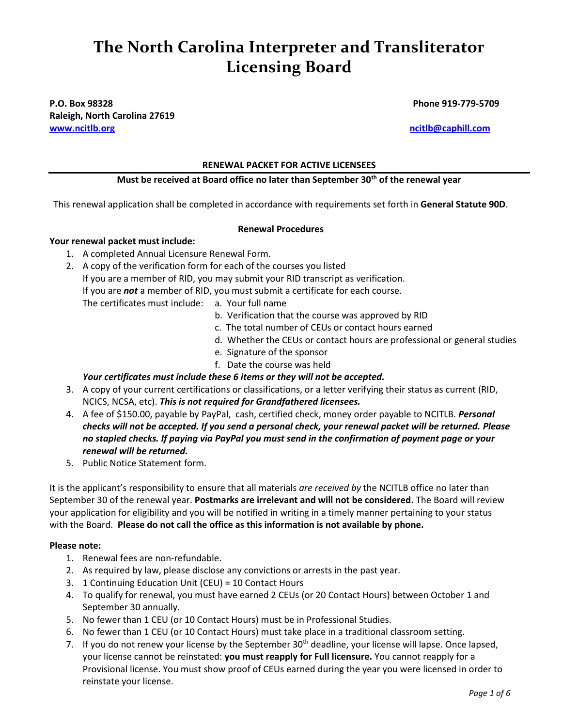# **The North Carolina Interpreter and Transliterator Licensing Board**

## **P.O. Box 98328 Phone 919-779-5709 Raleigh, North Carolina 27619 [www.ncitlb.org](http://www.ncitlb.org/) [ncitlb@caphill.com](mailto:ncitlb@caphill.com)**

### **RENEWAL PACKET FOR ACTIVE LICENSEES**

## **Must be received at Board office no later than September 30th of the renewal year**

This renewal application shall be completed in accordance with requirements set forth in **General Statute 90D**.

#### **Renewal Procedures**

## **Your renewal packet must include:**

- 1. A completed Annual Licensure Renewal Form.
- 2. A copy of the verification form for each of the courses you listed If you are a member of RID, you may submit your RID transcript as verification. If you are *not* a member of RID, you must submit a certificate for each course. The certificates must include: a. Your full name
	- - b. Verification that the course was approved by RID
		- c. The total number of CEUs or contact hours earned
		- d. Whether the CEUs or contact hours are professional or general studies
		- e. Signature of the sponsor
		- f. Date the course was held

# *Your certificates must include these 6 items or they will not be accepted.*

- 3. A copy of your current certifications or classifications, or a letter verifying their status as current (RID, NCICS, NCSA, etc). *This is not required for Grandfathered licensees.*
- 4. A fee of \$150.00, payable by PayPal, cash, certified check, money order payable to NCITLB. *Personal checks will not be accepted. If you send a personal check, your renewal packet will be returned. Please no stapled checks. If paying via PayPal you must send in the confirmation of payment page or your renewal will be returned.*
- 5. Public Notice Statement form.

It is the applicant's responsibility to ensure that all materials *are received by* the NCITLB office no later than September 30 of the renewal year. **Postmarks are irrelevant and will not be considered.** The Board will review your application for eligibility and you will be notified in writing in a timely manner pertaining to your status with the Board. **Please do not call the office as this information is not available by phone.**

### **Please note:**

- 1. Renewal fees are non-refundable.
- 2. As required by law, please disclose any convictions or arrests in the past year.
- 3. 1 Continuing Education Unit (CEU) = 10 Contact Hours
- 4. To qualify for renewal, you must have earned 2 CEUs (or 20 Contact Hours) between October 1 and September 30 annually.
- 5. No fewer than 1 CEU (or 10 Contact Hours) must be in Professional Studies.
- 6. No fewer than 1 CEU (or 10 Contact Hours) must take place in a traditional classroom setting.
- 7. If you do not renew your license by the September 30<sup>th</sup> deadline, your license will lapse. Once lapsed, your license cannot be reinstated: **you must reapply for Full licensure.** You cannot reapply for a Provisional license. You must show proof of CEUs earned during the year you were licensed in order to reinstate your license.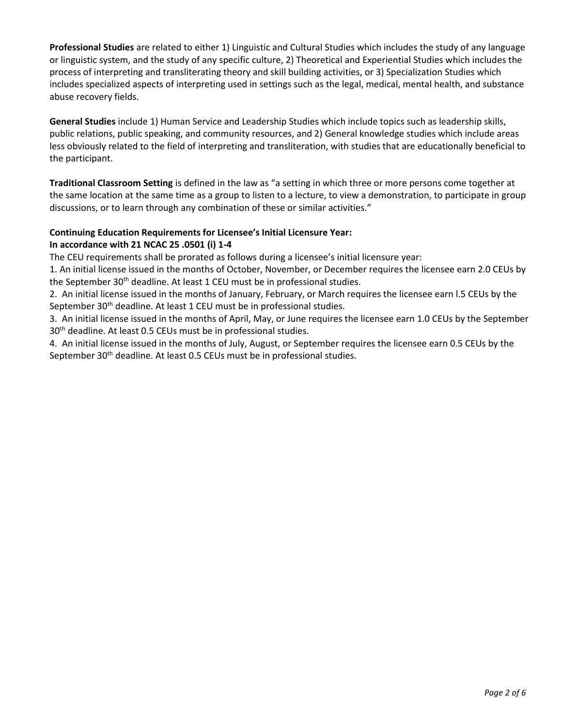**Professional Studies** are related to either 1) Linguistic and Cultural Studies which includes the study of any language or linguistic system, and the study of any specific culture, 2) Theoretical and Experiential Studies which includes the process of interpreting and transliterating theory and skill building activities, or 3) Specialization Studies which includes specialized aspects of interpreting used in settings such as the legal, medical, mental health, and substance abuse recovery fields.

**General Studies** include 1) Human Service and Leadership Studies which include topics such as leadership skills, public relations, public speaking, and community resources, and 2) General knowledge studies which include areas less obviously related to the field of interpreting and transliteration, with studies that are educationally beneficial to the participant.

**Traditional Classroom Setting** is defined in the law as "a setting in which three or more persons come together at the same location at the same time as a group to listen to a lecture, to view a demonstration, to participate in group discussions, or to learn through any combination of these or similar activities."

### **Continuing Education Requirements for Licensee's Initial Licensure Year: In accordance with 21 NCAC 25 .0501 (i) 1-4**

The CEU requirements shall be prorated as follows during a licensee's initial licensure year:

1. An initial license issued in the months of October, November, or December requires the licensee earn 2.0 CEUs by the September 30<sup>th</sup> deadline. At least 1 CEU must be in professional studies.

2. An initial license issued in the months of January, February, or March requires the licensee earn l.5 CEUs by the September 30<sup>th</sup> deadline. At least 1 CEU must be in professional studies.

3. An initial license issued in the months of April, May, or June requires the licensee earn 1.0 CEUs by the September 30th deadline. At least 0.5 CEUs must be in professional studies.

4. An initial license issued in the months of July, August, or September requires the licensee earn 0.5 CEUs by the September 30<sup>th</sup> deadline. At least 0.5 CEUs must be in professional studies.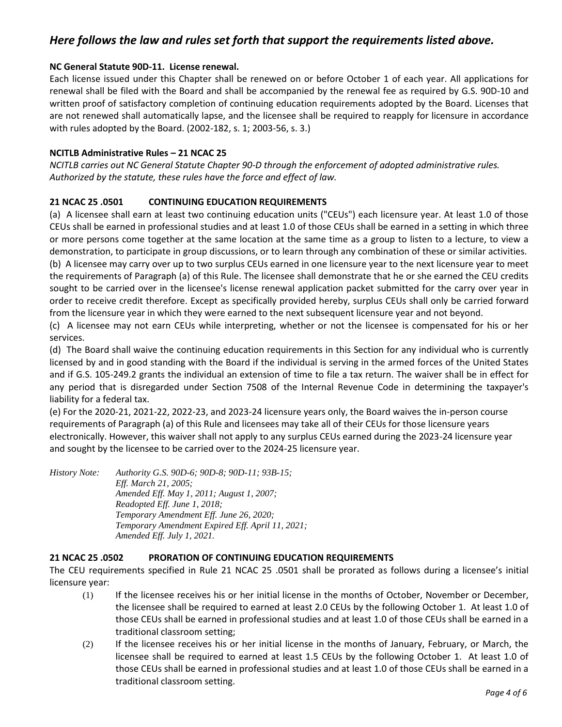# *Here follows the law and rules set forth that support the requirements listed above.*

### **NC General Statute 90D-11. License renewal.**

Each license issued under this Chapter shall be renewed on or before October 1 of each year. All applications for renewal shall be filed with the Board and shall be accompanied by the renewal fee as required by G.S. 90D-10 and written proof of satisfactory completion of continuing education requirements adopted by the Board. Licenses that are not renewed shall automatically lapse, and the licensee shall be required to reapply for licensure in accordance with rules adopted by the Board. (2002-182, s. 1; 2003-56, s. 3.)

### **NCITLB Administrative Rules – 21 NCAC 25**

*NCITLB carries out NC General Statute Chapter 90-D through the enforcement of adopted administrative rules. Authorized by the statute, these rules have the force and effect of law.*

# **21 NCAC 25 .0501 CONTINUING EDUCATION REQUIREMENTS**

(a) A licensee shall earn at least two continuing education units ("CEUs") each licensure year. At least 1.0 of those CEUs shall be earned in professional studies and at least 1.0 of those CEUs shall be earned in a setting in which three or more persons come together at the same location at the same time as a group to listen to a lecture, to view a demonstration, to participate in group discussions, or to learn through any combination of these or similar activities. (b) A licensee may carry over up to two surplus CEUs earned in one licensure year to the next licensure year to meet

the requirements of Paragraph (a) of this Rule. The licensee shall demonstrate that he or she earned the CEU credits sought to be carried over in the licensee's license renewal application packet submitted for the carry over year in order to receive credit therefore. Except as specifically provided hereby, surplus CEUs shall only be carried forward from the licensure year in which they were earned to the next subsequent licensure year and not beyond.

(c) A licensee may not earn CEUs while interpreting, whether or not the licensee is compensated for his or her services.

(d) The Board shall waive the continuing education requirements in this Section for any individual who is currently licensed by and in good standing with the Board if the individual is serving in the armed forces of the United States and if G.S. 105-249.2 grants the individual an extension of time to file a tax return. The waiver shall be in effect for any period that is disregarded under Section 7508 of the Internal Revenue Code in determining the taxpayer's liability for a federal tax.

(e) For the 2020-21, 2021-22, 2022-23, and 2023-24 licensure years only, the Board waives the in-person course requirements of Paragraph (a) of this Rule and licensees may take all of their CEUs for those licensure years electronically. However, this waiver shall not apply to any surplus CEUs earned during the 2023-24 licensure year and sought by the licensee to be carried over to the 2024-25 licensure year.

*History Note: Authority G.S. 90D-6; 90D-8; 90D-11; 93B-15; Eff. March 21, 2005; Amended Eff. May 1, 2011; August 1, 2007; Readopted Eff. June 1, 2018; Temporary Amendment Eff. June 26, 2020; Temporary Amendment Expired Eff. April 11, 2021; Amended Eff. July 1, 2021.*

### **21 NCAC 25 .0502 PRORATION OF CONTINUING EDUCATION REQUIREMENTS**

The CEU requirements specified in Rule 21 NCAC 25 .0501 shall be prorated as follows during a licensee's initial licensure year:

- (1) If the licensee receives his or her initial license in the months of October, November or December, the licensee shall be required to earned at least 2.0 CEUs by the following October 1. At least 1.0 of those CEUs shall be earned in professional studies and at least 1.0 of those CEUs shall be earned in a traditional classroom setting;
- (2) If the licensee receives his or her initial license in the months of January, February, or March, the licensee shall be required to earned at least 1.5 CEUs by the following October 1. At least 1.0 of those CEUs shall be earned in professional studies and at least 1.0 of those CEUs shall be earned in a traditional classroom setting.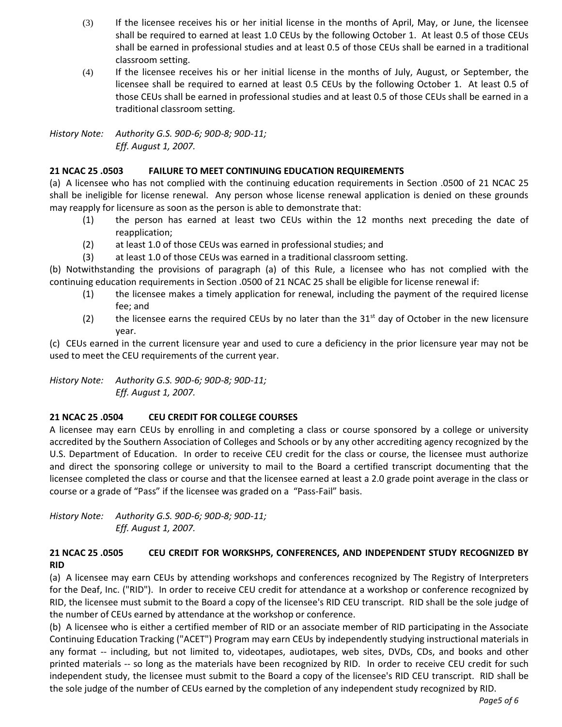- (3) If the licensee receives his or her initial license in the months of April, May, or June, the licensee shall be required to earned at least 1.0 CEUs by the following October 1. At least 0.5 of those CEUs shall be earned in professional studies and at least 0.5 of those CEUs shall be earned in a traditional classroom setting.
- (4) If the licensee receives his or her initial license in the months of July, August, or September, the licensee shall be required to earned at least 0.5 CEUs by the following October 1. At least 0.5 of those CEUs shall be earned in professional studies and at least 0.5 of those CEUs shall be earned in a traditional classroom setting.

*History Note: Authority G.S. 90D-6; 90D-8; 90D-11; Eff. August 1, 2007.*

# **21 NCAC 25 .0503 FAILURE TO MEET CONTINUING EDUCATION REQUIREMENTS**

(a) A licensee who has not complied with the continuing education requirements in Section .0500 of 21 NCAC 25 shall be ineligible for license renewal. Any person whose license renewal application is denied on these grounds may reapply for licensure as soon as the person is able to demonstrate that:

- (1) the person has earned at least two CEUs within the 12 months next preceding the date of reapplication;
- (2) at least 1.0 of those CEUs was earned in professional studies; and
- (3) at least 1.0 of those CEUs was earned in a traditional classroom setting.

(b) Notwithstanding the provisions of paragraph (a) of this Rule, a licensee who has not complied with the continuing education requirements in Section .0500 of 21 NCAC 25 shall be eligible for license renewal if:

- (1) the licensee makes a timely application for renewal, including the payment of the required license fee; and
- (2) the licensee earns the required CEUs by no later than the  $31<sup>st</sup>$  day of October in the new licensure year.

(c) CEUs earned in the current licensure year and used to cure a deficiency in the prior licensure year may not be used to meet the CEU requirements of the current year.

*History Note: Authority G.S. 90D-6; 90D-8; 90D-11; Eff. August 1, 2007.*

# **21 NCAC 25 .0504 CEU CREDIT FOR COLLEGE COURSES**

A licensee may earn CEUs by enrolling in and completing a class or course sponsored by a college or university accredited by the Southern Association of Colleges and Schools or by any other accrediting agency recognized by the U.S. Department of Education. In order to receive CEU credit for the class or course, the licensee must authorize and direct the sponsoring college or university to mail to the Board a certified transcript documenting that the licensee completed the class or course and that the licensee earned at least a 2.0 grade point average in the class or course or a grade of "Pass" if the licensee was graded on a "Pass-Fail" basis.

*History Note: Authority G.S. 90D-6; 90D-8; 90D-11; Eff. August 1, 2007.*

# **21 NCAC 25 .0505 CEU CREDIT FOR WORKSHPS, CONFERENCES, AND INDEPENDENT STUDY RECOGNIZED BY RID**

(a) A licensee may earn CEUs by attending workshops and conferences recognized by The Registry of Interpreters for the Deaf, Inc. ("RID"). In order to receive CEU credit for attendance at a workshop or conference recognized by RID, the licensee must submit to the Board a copy of the licensee's RID CEU transcript. RID shall be the sole judge of the number of CEUs earned by attendance at the workshop or conference.

(b) A licensee who is either a certified member of RID or an associate member of RID participating in the Associate Continuing Education Tracking ("ACET") Program may earn CEUs by independently studying instructional materials in any format -- including, but not limited to, videotapes, audiotapes, web sites, DVDs, CDs, and books and other printed materials -- so long as the materials have been recognized by RID. In order to receive CEU credit for such independent study, the licensee must submit to the Board a copy of the licensee's RID CEU transcript. RID shall be the sole judge of the number of CEUs earned by the completion of any independent study recognized by RID.